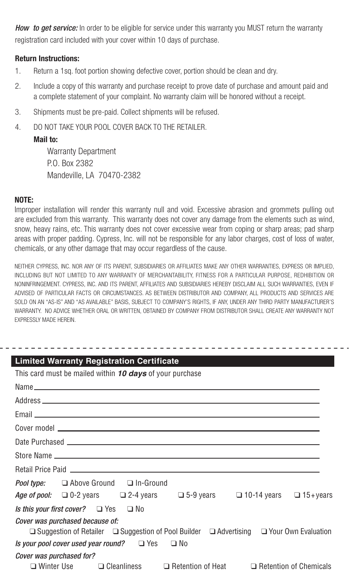**How to get service:** In order to be eligible for service under this warranty you MUST return the warranty registration card included with your cover within 10 days of purchase.

## **Return Instructions:**

- 1. Return a 1sq. foot portion showing defective cover, portion should be clean and dry.
- 2. Include a copy of this warranty and purchase receipt to prove date of purchase and amount paid and a complete statement of your complaint. No warranty claim will be honored without a receipt.
- 3. Shipments must be pre-paid. Collect shipments will be refused.
- 4. DO NOT TAKE YOUR POOL COVER BACK TO THE RETAILER.

# **Mail to:**

 Warranty Department P.O. Box 2382 Mandeville, LA 70470-2382

### **NOTE:**

Improper installation will render this warranty null and void. Excessive abrasion and grommets pulling out are excluded from this warranty. This warranty does not cover any damage from the elements such as wind, snow, heavy rains, etc. This warranty does not cover excessive wear from coping or sharp areas; pad sharp areas with proper padding. Cypress, Inc. will not be responsible for any labor charges, cost of loss of water, chemicals, or any other damage that may occur regardless of the cause.

NEITHER CYPRESS, INC. NOR ANY OF ITS PARENT, SUBSIDIARIES OR AFFILIATES MAKE ANY OTHER WARRANTIES, EXPRESS OR IMPLIED, INCLUDING BUT NOT LIMITED TO ANY WARRANTY OF MERCHANTABILITY, FITNESS FOR A PARTICULAR PURPOSE, REDHIBITION OR NONINFRINGEMENT. CYPRESS, INC. AND ITS PARENT, AFFILIATES AND SUBSIDIARIES HEREBY DISCLAIM ALL SUCH WARRANTIES, EVEN IF ADVISED OF PARTICULAR FACTS OR CIRCUMSTANCES. AS BETWEEN DISTRIBUTOR AND COMPANY, ALL PRODUCTS AND SERVICES ARE SOLD ON AN "AS-IS" AND "AS AVAILABLE" BASIS, SUBJECT TO COMPANY'S RIGHTS, IF ANY, UNDER ANY THIRD PARTY MANUFACTURER'S WARRANTY. NO ADVICE WHETHER ORAL OR WRITTEN, OBTAINED BY COMPANY FROM DISTRIBUTOR SHALL CREATE ANY WARRANTY NOT EXPRESSLY MADE HEREIN.

| <b>Limited Warranty Registration Certificate</b>                                                                                    |
|-------------------------------------------------------------------------------------------------------------------------------------|
| This card must be mailed within 10 days of your purchase                                                                            |
| $Name_$                                                                                                                             |
|                                                                                                                                     |
|                                                                                                                                     |
|                                                                                                                                     |
|                                                                                                                                     |
|                                                                                                                                     |
|                                                                                                                                     |
| <b>Pool type:</b> $\Box$ Above Ground $\Box$ In-Ground                                                                              |
| Age of pool: $\Box$ 0-2 years $\Box$ 2-4 years $\Box$ 5-9 years $\Box$ 10-14 years $\Box$ 15+years                                  |
| <i>Is this your first cover?</i> $\Box$ Yes $\Box$ No                                                                               |
| Cover was purchased because of:                                                                                                     |
| <b>□</b> Suggestion of Retailer □ Suggestion of Pool Builder □ Advertising □ Your Own Evaluation                                    |
| Is your pool cover used year round? $\Box$ Yes $\Box$ No                                                                            |
| Cover was purchased for?<br>$\square$ Winter Use $\square$ Cleanliness $\square$ Retention of Heat $\square$ Retention of Chemicals |
|                                                                                                                                     |